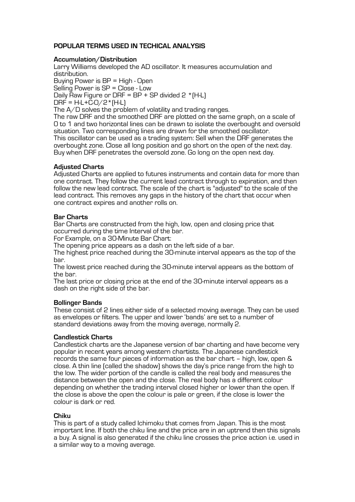# **POPULAR TERMS USED IN TECHICAL ANALYSIS**

### **Accumulation/Distribution**

Larry Williams developed the AD oscillator. It measures accumulation and distribution. Buying Power is BP = High - Open Selling Power is SP = Close - Low Daily Raw Figure or DRF =  $BP + SP$  divided  $2 * (H - L)$  $DRF = H-L+\overline{C} \cdot Q/2$ \* $(H-L)$ The  $A/D$  solves the problem of volatility and trading ranges.

The raw DRF and the smoothed DRF are plotted on the same graph, on a scale of 0 to 1 and two horizontal lines can be drawn to isolate the overbought and oversold situation. Two corresponding lines are drawn for the smoothed oscillator. This oscillator can be used as a trading system: Sell when the DRF generates the overbought zone. Close all long position and go short on the open of the next day. Buy when DRF penetrates the oversold zone. Go long on the open next day.

# **Adjusted Charts**

Adjusted Charts are applied to futures instruments and contain data for more than one contract. They follow the current lead contract through to expiration, and then follow the new lead contract. The scale of the chart is "adjusted" to the scale of the lead contract. This removes any gaps in the history of the chart that occur when one contract expires and another rolls on.

## **Bar Charts**

Bar Charts are constructed from the high, low, open and closing price that occurred during the time Interval of the bar.

For Example, on a 30-Minute Bar Chart:

The opening price appears as a dash on the left side of a bar.

The highest price reached during the 30-minute interval appears as the top of the bar.

The lowest price reached during the 30-minute interval appears as the bottom of the bar.

The last price or closing price at the end of the 30-minute interval appears as a dash on the right side of the bar.

### **Bollinger Bands**

These consist of 2 lines either side of a selected moving average. They can be used as envelopes or filters. The upper and lower 'bands' are set to a number of standard deviations away from the moving average, normally 2.

### **Candlestick Charts**

Candlestick charts are the Japanese version of bar charting and have become very popular in recent years among western chartists. The Japanese candlestick records the same four pieces of information as the bar chart – high, low, open & close. A thin line (called the shadow) shows the day's price range from the high to the low. The wider portion of the candle is called the real body and measures the distance between the open and the close. The real body has a different colour depending on whether the trading interval closed higher or lower than the open. If the close is above the open the colour is pale or green, if the close is lower the colour is dark or red.

### **Chiku**

This is part of a study called Ichimoku that comes from Japan. This is the most important line. If both the chiku line and the price are in an uptrend then this signals a buy. A signal is also generated if the chiku line crosses the price action i.e. used in a similar way to a moving average.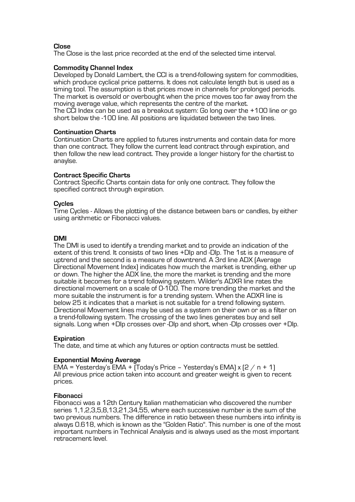# **Close**

The Close is the last price recorded at the end of the selected time interval.

### **Commodity Channel Index**

Developed by Donald Lambert, the CCI is a trend-following system for commodities, which produce cyclical price patterns. It does not calculate length but is used as a timing tool. The assumption is that prices move in channels for prolonged periods. The market is oversold or overbought when the price moves too far away from the moving average value, which represents the centre of the market. The CCI Index can be used as a breakout system: Go long over the +100 line or go short below the -100 line. All positions are liquidated between the two lines.

**Continuation Charts**

Continuation Charts are applied to futures instruments and contain data for more than one contract. They follow the current lead contract through expiration, and then follow the new lead contract. They provide a longer history for the chartist to anaylse.

### **Contract Specific Charts**

Contract Specific Charts contain data for only one contract. They follow the specified contract through expiration.

### **Cycles**

Time Cycles - Allows the plotting of the distance between bars or candles, by either using arithmetic or Fibonacci values.

## **DMI**

The DMI is used to identify a trending market and to provide an indication of the extent of this trend. It consists of two lines +DIp and -DIp. The 1st is a measure of uptrend and the second is a measure of downtrend. A 3rd line ADX (Average Directional Movement Index) indicates how much the market is trending, either up or down. The higher the ADX line, the more the market is trending and the more suitable it becomes for a trend following system. Wilder's ADXR line rates the directional movement on a scale of 0-100. The more trending the market and the more suitable the instrument is for a trending system. When the ADXR line is below 25 it indicates that a market is not suitable for a trend following system. Directional Movement lines may be used as a system on their own or as a filter on a trend-following system. The crossing of the two lines generates buy and sell signals. Long when +DIp crosses over -DIp and short, when -DIp crosses over +DIp.

# **Expiration**

The date, and time at which any futures or option contracts must be settled.

# **Exponential Moving Average**

EMA = Yesterday's EMA +  $(T$ oday's Price - Yesterday's EMA $x$  (2 / n + 1) All previous price action taken into account and greater weight is given to recent prices.

### **Fibonacci**

Fibonacci was a 12th Century Italian mathematician who discovered the number series 1,1,2,3,5,8,13,21,34,55, where each successive number is the sum of the two previous numbers. The difference in ratio between these numbers into infinity is always 0.618, which is known as the "Golden Ratio". This number is one of the most important numbers in Technical Analysis and is always used as the most important retracement level.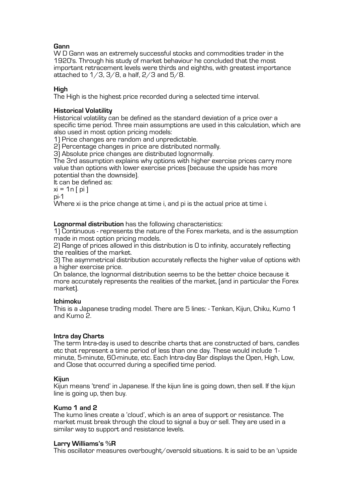# **Gann**

W D Gann was an extremely successful stocks and commodities trader in the 1920's. Through his study of market behaviour he concluded that the most important retracement levels were thirds and eighths, with greatest importance attached to  $1/3$ ,  $3/8$ , a half,  $2/3$  and  $5/8$ .

# **High**

The High is the highest price recorded during a selected time interval.

# **Historical Volatility**

Historical volatility can be defined as the standard deviation of a price over a specific time period. Three main assumptions are used in this calculation, which are also used in most option pricing models:

1) Price changes are random and unpredictable.

2) Percentage changes in price are distributed normally.

3) Absolute price changes are distributed lognormally.

The 3rd assumption explains why options with higher exercise prices carry more value than options with lower exercise prices (because the upside has more potential than the downside).

It can be defined as:

 $xi = 1n$  [ pi ]

pi-1

Where xi is the price change at time i, and pi is the actual price at time i.

**Lognormal distribution** has the following characteristics:

1) Continuous - represents the nature of the Forex markets, and is the assumption made in most option pricing models.

2) Range of prices allowed in this distribution is 0 to infinity, accurately reflecting the realities of the market.

3) The asymmetrical distribution accurately reflects the higher value of options with a higher exercise price.

On balance, the lognormal distribution seems to be the better choice because it more accurately represents the realities of the market, (and in particular the Forex market).

### **Ichimoku**

This is a Japanese trading model. There are 5 lines: - Tenkan, Kijun, Chiku, Kumo 1 and Kumo 2.

# **Intra day Charts**

The term Intra-day is used to describe charts that are constructed of bars, candles etc that represent a time period of less than one day. These would include 1 minute, 5-minute, 60-minute, etc. Each Intra-day Bar displays the Open, High, Low, and Close that occurred during a specified time period.

### **Kijun**

Kijun means 'trend' in Japanese. If the kijun line is going down, then sell. If the kijun line is going up, then buy.

### **Kumo 1 and 2**

The kumo lines create a 'cloud', which is an area of support or resistance. The market must break through the cloud to signal a buy or sell. They are used in a similar way to support and resistance levels.

### **Larry Williams's %R**

This oscillator measures overbought/oversold situations. It is said to be an 'upside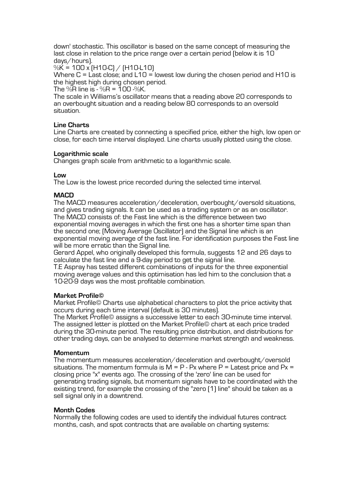down' stochastic. This oscillator is based on the same concept of measuring the last close in relation to the price range over a certain period (below it is 10 days/hours).

 $\%$ K = 100 x (H10-C) / (H10-L10)

Where  $C =$  Last close; and  $L10 =$  lowest low during the chosen period and H10 is the highest high during chosen period.

The  $\%$ R line is -  $\%$ R = 100  $\%$ K.

The scale in Williams's oscillator means that a reading above 20 corresponds to an overbought situation and a reading below 80 corresponds to an oversold situation.

# **Line Charts**

Line Charts are created by connecting a specified price, either the high, low open or close, for each time interval displayed. Line charts usually plotted using the close.

## **Logarithmic scale**

Changes graph scale from arithmetic to a logarithmic scale.

## **Low**

The Low is the lowest price recorded during the selected time interval.

## **MACD**

The MACD measures acceleration/deceleration, overbought/oversold situations, and gives trading signals. It can be used as a trading system or as an oscillator. The MACD consists of: the Fast line which is the difference between two exponential moving averages in which the first one has a shorter time span than the second one; (Moving Average Oscillator) and the Signal line which is an exponential moving average of the fast line. For identification purposes the Fast line will be more erratic than the Signal line.

Gerard Appel, who originally developed this formula, suggests 12 and 26 days to calculate the fast line and a 9-day period to get the signal line.

T.E Aspray has tested different combinations of inputs for the three exponential moving average values and this optimisation has led him to the conclusion that a 10-20-9 days was the most profitable combination.

### **Market Profile©**

Market Profile© Charts use alphabetical characters to plot the price activity that occurs during each time interval (default is 30 minutes).

The Market Profile© assigns a successive letter to each 30-minute time interval. The assigned letter is plotted on the Market Profile© chart at each price traded during the 30-minute period. The resulting price distribution, and distributions for other trading days, can be analysed to determine market strength and weakness.

### **Momentum**

The momentum measures acceleration/deceleration and overbought/oversold situations. The momentum formula is  $M = P - Px$  where  $P =$  Latest price and  $Px =$ closing price "x" events ago. The crossing of the 'zero' line can be used for generating trading signals, but momentum signals have to be coordinated with the existing trend, for example the crossing of the "zero (1) line" should be taken as a sell signal only in a downtrend.

### **Month Codes**

Normally the following codes are used to identify the individual futures contract months, cash, and spot contracts that are available on charting systems: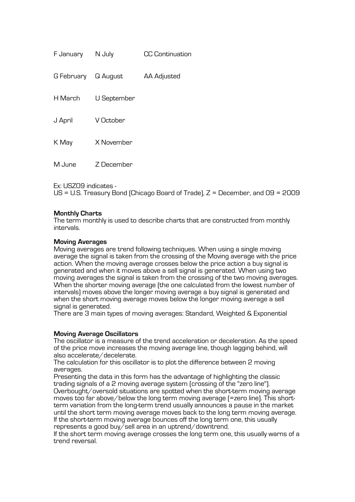| F January  | N July      | <b>CC Continuation</b> |
|------------|-------------|------------------------|
| G February | Q August    | <b>AA Adjusted</b>     |
| H March    | U September |                        |
| J April    | V October   |                        |
| K May      | X November  |                        |
| M June     | 7 December  |                        |

Ex: USZ09 indicates -<br>US = U.S. Treasury Bond (Chicago Board of Trade), Z = December, and 09 = 2009

# **Monthly Charts**

The term monthly is used to describe charts that are constructed from monthly intervals.

## **Moving Averages**

Moving averages are trend following techniques. When using a single moving average the signal is taken from the crossing of the Moving average with the price action. When the moving average crosses below the price action a buy signal is generated and when it moves above a sell signal is generated. When using two moving averages the signal is taken from the crossing of the two moving averages. When the shorter moving average (the one calculated from the lowest number of intervals) moves above the longer moving average a buy signal is generated and when the short moving average moves below the longer moving average a sell signal is generated.

There are 3 main types of moving averages: Standard, Weighted & Exponential

# **Moving Average Oscillators**

The oscillator is a measure of the trend acceleration or deceleration. As the speed of the price move increases the moving average line, though lagging behind, will also accelerate/decelerate.

The calculation for this oscillator is to plot the difference between 2 moving averages.

Presenting the data in this form has the advantage of highlighting the classic trading signals of a 2 moving average system (crossing of the "zero line"). Overbought/oversold situations are spotted when the short-term moving average moves too far above/below the long term moving average (=zero line). This shortterm variation from the long-term trend usually announces a pause in the market until the short term moving average moves back to the long term moving average. If the short-term moving average bounces off the long term one, this usually represents a good buy/sell area in an uptrend/downtrend.

If the short term moving average crosses the long term one, this usually warns of a trend reversal.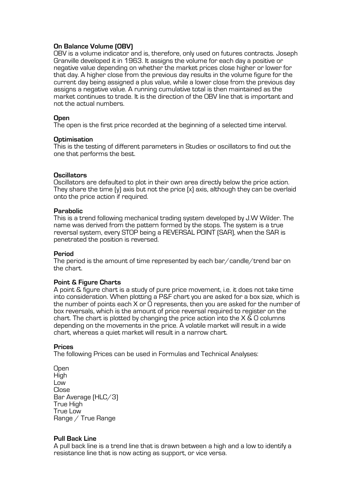# **On Balance Volume (OBV)**

OBV is a volume indicator and is, therefore, only used on futures contracts. Joseph Granville developed it in 1963. It assigns the volume for each day a positive or negative value depending on whether the market prices close higher or lower for that day. A higher close from the previous day results in the volume figure for the current day being assigned a plus value, while a lower close from the previous day assigns a negative value. A running cumulative total is then maintained as the market continues to trade. It is the direction of the OBV line that is important and not the actual numbers.

#### **Open**

The open is the first price recorded at the beginning of a selected time interval.

#### **Optimisation**

This is the testing of different parameters in Studies or oscillators to find out the one that performs the best.

#### **Oscillators**

Oscillators are defaulted to plot in their own area directly below the price action. They share the time (y) axis but not the price (x) axis, although they can be overlaid onto the price action if required.

#### **Parabolic**

This is a trend following mechanical trading system developed by J.W Wilder. The name was derived from the pattern formed by the stops. The system is a true reversal system, every STOP being a REVERSAL POINT (SAR), when the SAR is penetrated the position is reversed.

#### **Period**

The period is the amount of time represented by each bar/candle/trend bar on the chart.

### **Point & Figure Charts**

A point & figure chart is a study of pure price movement, i.e. it does not take time into consideration. When plotting a P&F chart you are asked for a box size, which is the number of points each X or O represents, then you are asked for the number of box reversals, which is the amount of price reversal required to register on the chart. The chart is plotted by changing the price action into the  $X \& O$  columns depending on the movements in the price. A volatile market will result in a wide chart, whereas a quiet market will result in a narrow chart.

#### **Prices**

The following Prices can be used in Formulas and Technical Analyses:

**Open** High Low Close Bar Average (HLC/3) True High True Low Range / True Range

### **Pull Back Line**

A pull back line is a trend line that is drawn between a high and a low to identify a resistance line that is now acting as support, or vice versa.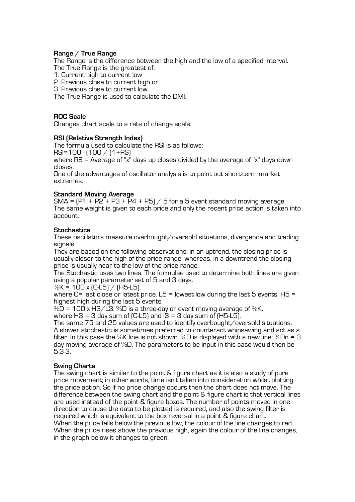# **Range / True Range**

The Range is the difference between the high and the low of a specified interval. The True Range is the greatest of:

1. Current high to current low

2. Previous close to current high or

3. Previous close to current low.

The True Range is used to calculate the DMI.

### **ROC Scale**

Changes chart scale to a rate of change scale.

### **RSI (Relative Strength Index)**

The formula used to calculate the RSI is as follows:

RSI=100 - (100 / (1+RS)

where  $\overline{BS}$  = Average of "x" days up closes divided by the average of "x" days down closes.

One of the advantages of oscillator analysis is to point out short-term market extremes.

## **Standard Moving Average**

 $SMA = [P1 + P2 + P3 + P4 + P5] / 5$  for a 5 event standard moving average. The same weight is given to each price and only the recent price action is taken into account.

### **Stochastics**

These oscillators measure overbought/oversold situations, divergence and trading signals.

They are based on the following observations: in an uptrend, the closing price is usually closer to the high of the price range, whereas, in a downtrend the closing price is usually near to the low of the price range.

The Stochastic uses two lines. The formulae used to determine both lines are given using a popular parameter set of 5 and 3 days.

%K = 100 x (C-L5) / (H5-L5).

where C= last close or latest price.  $L5$  = lowest low during the last 5 events. H5 = highest high during the last 5 events.

 $%D = 100 \times H3/L3$ . %D is a three-day or event moving average of %K.

where  $H3 = 3$  day sum of  $[CL5]$  and  $I3 = 3$  day sum of  $[H5-L5]$ .

The same 75 and 25 values are used to identify overbought/oversold situations. A slower stochastic is sometimes preferred to counteract whipsawing and act as a filter. In this case the %K line is not shown. %D is displayed with a new line: %Dn = 3 day moving average of %D. The parameters to be input in this case would then be 5-3-3.

### **Swing Charts**

The swing chart is similar to the point & figure chart as it is also a study of pure price movement; in other words, time isn't taken into consideration whilst plotting the price action. So if no price change occurs then the chart does not move. The difference between the swing chart and the point & figure chart is that vertical lines are used instead of the point & figure boxes. The number of points moved in one direction to cause the data to be plotted is required, and also the swing filter is required which is equivalent to the box reversal in a point & figure chart. When the price falls below the previous low, the colour of the line changes to red. When the price rises above the previous high, again the colour of the line changes, in the graph below it changes to green.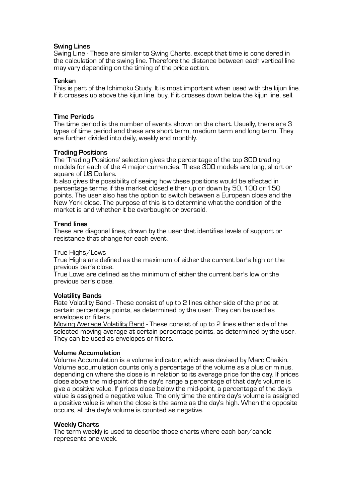## **Swing Lines**

Swing Line - These are similar to Swing Charts, except that time is considered in the calculation of the swing line. Therefore the distance between each vertical line may vary depending on the timing of the price action.

### **Tenkan**

This is part of the Ichimoku Study. It is most important when used with the kijun line. If it crosses up above the kijun line, buy. If it crosses down below the kijun line, sell.

### **Time Periods**

The time period is the number of events shown on the chart. Usually, there are 3 types of time period and these are short term, medium term and long term. They are further divided into daily, weekly and monthly.

### **Trading Positions**

The 'Trading Positions' selection gives the percentage of the top 300 trading models for each of the 4 major currencies. These 300 models are long, short or square of US Dollars.

It also gives the possibility of seeing how these positions would be affected in percentage terms if the market closed either up or down by 50, 100 or 150 points. The user also has the option to switch between a European close and the New York close. The purpose of this is to determine what the condition of the market is and whether it be overbought or oversold.

#### **Trend lines**

These are diagonal lines, drawn by the user that identifies levels of support or resistance that change for each event.

#### True Highs/Lows

True Highs are defined as the maximum of either the current bar's high or the previous bar's close.

True Lows are defined as the minimum of either the current bar's low or the previous bar's close.

#### **Volatility Bands**

Rate Volatility Band - These consist of up to 2 lines either side of the price at certain percentage points, as determined by the user. They can be used as envelopes or filters.

Moving Average Volatility Band - These consist of up to 2 lines either side of the selected moving average at certain percentage points, as determined by the user. They can be used as envelopes or filters.

### **Volume Accumulation**

Volume Accumulation is a volume indicator, which was devised by Marc Chaikin. Volume accumulation counts only a percentage of the volume as a plus or minus, depending on where the close is in relation to its average price for the day. If prices close above the mid-point of the day's range a percentage of that day's volume is give a positive value. If prices close below the mid-point, a percentage of the day's value is assigned a negative value. The only time the entire day's volume is assigned a positive value is when the close is the same as the day's high. When the opposite occurs, all the day's volume is counted as negative.

#### **Weekly Charts**

The term weekly is used to describe those charts where each bar/candle represents one week.